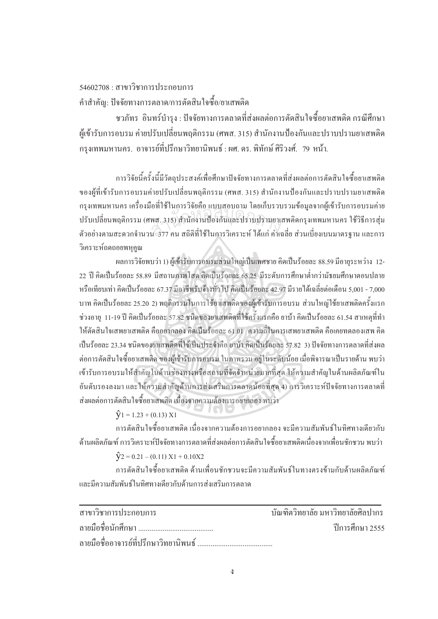$54602708 : 19193$ ชาการประกอบการ ้ คำสำคัญ: ปัจจัยทางการตลาด/การตัดสินใจซื้อ/ยาเสพติด

ชวภัทร อินทร์บำรุง : ปัจจัยทางการตลาดที่ส่งผลต่อการตัดสินใจซื้อยาเสพติด กรณีศึกษา ผู้เข้ารับการอบรม ค่ายปรับเปลี่ยนพฤติกรรม (ศพส. 315) สำนักงานป้องกันและปราบปรามยาเสพติด ึ กรุงเทพมหานคร. อาจารย์ที่ปรึกษาวิทยานิพนธ์ : ผศ. คร. พิทักษ์ ศิริวงศ์. *7*9 หน้า.

การวิจัยนี้ครั้งนี้มีวัตถุประสงค์เพื่อศึกษาปัจจัยทางการตลาดที่ส่งผลต่อการตัดสินใจซื้อยาเสพติด 。<br>│ ´Ê ของผู้ที่เข้ารับการอบรมค่ายปรับเปลี่ยนพฤติกรรม (ศพส. 315) สำนักงานป้องกันและปราบปรามยาเสพติค กรุงเทพมหานคร เครื่องมือที่ใช้ในการวิจัยคือ แบบสอบถาม โดยเก็บรวบรวมข้อมูลจากผู้เข้ารับการอบรมค่าย ปรับเปลี่ยนพฤติกรรม (ศพส. 315) สำนักงานป้องกันและปราบปรามยาเสพติดกรุงเทพมหานคร ใช้วิธีการสุ่ม ตัวอย่างตามสะดวกจำนวน 377 คน สถิติที่ใช้ในการวิเคราะห์ ได้แก่ ค่าเฉลี่ย ส่วนเบี่ยงเบนมาตรฐาน และการ วิเคราะห์ถดถอยพหคณ อการรถการระบอลออกออกน์ รักอีกอรรร<br>พส. 315) สำนักงานป้องกันและปราบปรามยาเ<br>น 377 คน สถิติที่ใช้ในการวิเคราะห์ ได้แก่ ค่าเร

้ ผลการวิจัยพบว่า 1) ผู้เข้ารับการอบรมส่วนใหญ่เป็นเพศชาย คิดเป็นร้อยละ 88.59 มีอายุระหว่าง 12-22 ปี คิดเป็นร้อยละ 58.89 มีสถานภาพโสด คิดเป็นร้อยละ 65.25 มีระดับการศึกษาต่ำกว่ามัธยมศึกษาตอนปลาย หรือเทียบเท่า คิดเป็นร้อยละ 67.37 มีอาชีพรับจ้างทั่วไป คิดเป็นร้อยละ 42.97 มีรายได้เฉลี่ยต่อเดือน 5,001 - 7,000 บาท คิดเป็นร้อยละ 25.20 2) พฤติกรรมในการใช้ยาเสพติดของผู้เข้ารับการอบรม ส่วนใหญ่ใช้ยาเสพติดครั้งแรก ´Ê ช่วงอายุ 11-19 ปี คิดเป็นร้อยละ 57.82 ชนิดของยาเสพติดที่ใช้ครั้งแรกคือ ยาบ้า คิดเป็นร้อยละ 61.54 สาเหตุที่ทำ ´Ê ให้ตัดสินใจเสพยาเสพติด คืออยากลอง คิดเป็นร้อยละ 61.01 ความถี่ในการเสพยาเสพติด คือเคยทดลองเสพ คิด เป็นร้อยละ 23.34 ชนิดของยาเสพติดที่ใช้เป็นประจำคือ ยาบ้า กิดเป็นร้อยละ 57.82 3) ปัจจัยทางการตลาดที่ส่งผล ต่อการตัดสินใจซื้อยาเสพติด ของผู้เข้ารับการอบรม ในภาพรวม อยู่ในระดับน้อย เมื่อพิจารณาเป็นรายด้าน พบว่า เข้ารับการอบรมให้สำคัญในด้านช่องทางหรือสถานที่จัดจำหน่ายมากที่สุด ให้ความสำคัญในด้านผลิตภัณฑ์ใน ือันดับรองลงมา และให้ความสำคัญค้านการส่งเสริมการตลาดน้อยที่สุด 4) การวิเคราะห์ปัจจัยทางการตลาดที่ ส่งผลต่อการตัดสินใจซื้อยาเสพติด เนื่องจากความต้องการอยากลอง พบว่า

## $\hat{V}_1 = 1.23 + (0.13) \times 1$

การตัดสินใจซื้อยาเสพติด เนื่องจากความต้องการอยากลอง จะมีความสัมพันธ์ในทิศทางเดียวกับ ด้านผลิตภัณฑ์ การวิเคราะห์ปัจจัยทางการตลาดที่ส่งผลต่อการตัดสินใจซื้อยาเสพติดเนื่องจากเพื่อนชักชวน พบว่า ºÉ

## $\hat{V}$ 2 = 0.21 – (0.11) X1 + 0.10X2

การตัดสินใจซื้อยาเสพติด ด้านเพื่อนชักชวนจะมีความสัมพันธ์ในทางตรงข้ามกับด้านผลิตภัณฑ์ ้และมีความสัมพับธ์ใบทิศทางเดียวกับด้าบการส่งเสริมการตลาด

| สาขาวิชาการประกอบการ                   | ำเันฑิตวิทยาลัย มหาวิทยาลัยศิลปากร |
|----------------------------------------|------------------------------------|
|                                        | ์ ปีการศึกษา 2555                  |
| ิลายมือชื่ออาจารย์ที่ปรึกษาวิทยานิพนธ์ |                                    |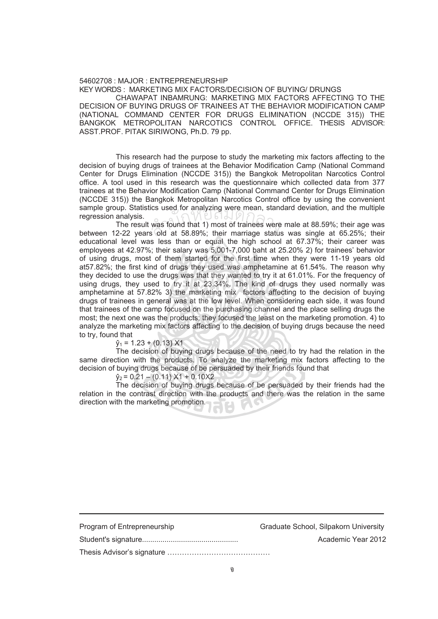## 54602708 : MAJOR : ENTREPRENEURSHIP KEY WORDS : MARKETING MIX FACTORS/DECISION OF BUYING/ DRUNGS

 CHAWAPAT INBAMRUNG: MARKETING MIX FACTORS AFFECTING TO THE DECISION OF BUYING DRUGS OF TRAINEES AT THE BEHAVIOR MODIFICATION CAMP (NATIONAL COMMAND CENTER FOR DRUGS ELIMINATION (NCCDE 315)) THE BANGKOK METROPOLITAN NARCOTICS CONTROL OFFICE. THESIS ADVISOR: ASST.PROF. PITAK SIRIWONG, Ph.D. 79 pp.

 This research had the purpose to study the marketing mix factors affecting to the decision of buying drugs of trainees at the Behavior Modification Camp (National Command Center for Drugs Elimination (NCCDE 315)) the Bangkok Metropolitan Narcotics Control office. A tool used in this research was the questionnaire which collected data from 377 trainees at the Behavior Modification Camp (National Command Center for Drugs Elimination (NCCDE 315)) the Bangkok Metropolitan Narcotics Control office by using the convenient sample group. Statistics used for analyzing were mean, standard deviation, and the multiple regression analysis.

 The result was found that 1) most of trainees were male at 88.59%; their age was between 12-22 years old at 58.89%; their marriage status was single at 65.25%; their educational level was less than or equal the high school at 67.37%; their career was employees at 42.97%; their salary was 5,001-7,000 baht at 25.20% 2) for trainees' behavior of using drugs, most of them started for the first time when they were 11-19 years old at57.82%; the first kind of drugs they used was amphetamine at 61.54%. The reason why they decided to use the drugs was that they wanted to try it at 61.01%. For the frequency of using drugs, they used to try it at 23.34%. The kind of drugs they used normally was amphetamine at 57.82% 3) the marketing mix factors affecting to the decision of buying drugs of trainees in general was at the low level. When considering each side, it was found that trainees of the camp focused on the purchasing channel and the place selling drugs the most; the next one was the products; they focused the least on the marketing promotion. 4) to analyze the marketing mix factors affecting to the decision of buying drugs because the need to try, found that was found that 1) most of trainees were<br>s old at 58.89%; their marriage status

 $\hat{y}_1 = 1.23 + (0.13) \times 1$ 

 The decision of buying drugs because of the need to try had the relation in the same direction with the products. To analyze the marketing mix factors affecting to the decision of buying drugs because of be persuaded by their friends found that

 $\hat{v}_2$  = 0.21 – (0.11) X1 + 0.10X2

 The decision of buying drugs because of be persuaded by their friends had the relation in the contrast direction with the products and there was the relation in the same direction with the marketing promotion.

| Program of Entrepreneurship | Graduate School, Silpakorn University |
|-----------------------------|---------------------------------------|
|                             | Academic Year 2012                    |
|                             |                                       |